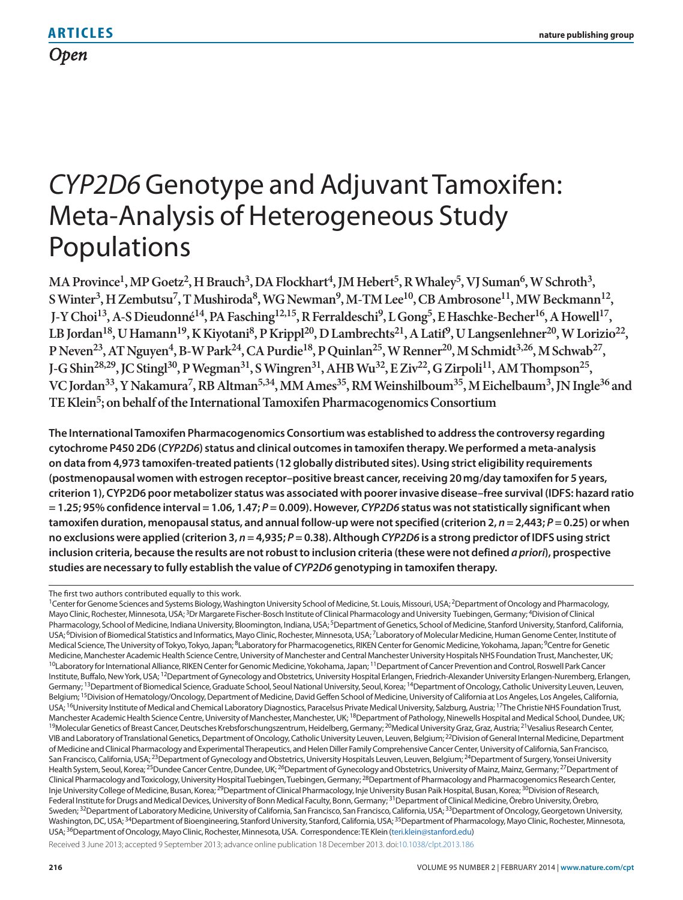# *CYP2D6* Genotype and Adjuvant Tamoxifen: Meta-Analysis of Heterogeneous Study Populations

MA Province<sup>1</sup>, MP Goetz<sup>2</sup>, H Brauch<sup>3</sup>, DA Flockhart<sup>4</sup>, JM Hebert<sup>5</sup>, R Whaley<sup>5</sup>, VJ Suman<sup>6</sup>, W Schroth<sup>3</sup>, **S Winter3, H Zembutsu7, T Mushiroda8, WG Newman9, M-TM Lee10, CB Ambrosone11, MW Beckmann12, J-Y Choi13, A-S Dieudonné14, PA Fasching12,15, R Ferraldeschi9, L Gong5, E Haschke-Becher16, A Howell17,**  LB Jordan<sup>18</sup>, U Hamann<sup>19</sup>, K Kiyotani<sup>8</sup>, P Krippl<sup>20</sup>, D Lambrechts<sup>21</sup>, A Latif<sup>9</sup>, U Langsenlehner<sup>20</sup>, W Lorizio<sup>22</sup>, P Neven<sup>23</sup>, AT Nguyen<sup>4</sup>, B-W Park<sup>24</sup>, CA Purdie<sup>18</sup>, P Quinlan<sup>25</sup>, W Renner<sup>20</sup>, M Schmidt<sup>3,26</sup>, M Schwab<sup>27</sup>, **J-G Shin28,29, JC Stingl30, P Wegman31, S Wingren31, AHB Wu32, E Ziv22, G Zirpoli11, AM Thompson25,**  VC Jordan<sup>33</sup>, Y Nakamura<sup>7</sup>, RB Altman<sup>5,34</sup>, MM Ames<sup>35</sup>, RM Weinshilboum<sup>35</sup>, M Eichelbaum<sup>3</sup>, JN Ingle<sup>36</sup> and **TE Klein5; on behalf of the International Tamoxifen Pharmacogenomics Consortium**

**The International Tamoxifen Pharmacogenomics Consortium was established to address the controversy regarding cytochrome P450 2D6 (***CYP2D6***) status and clinical outcomes in tamoxifen therapy. We performed a meta-analysis on data from 4,973 tamoxifen-treated patients (12 globally distributed sites). Using strict eligibility requirements (postmenopausal women with estrogen receptor–positive breast cancer, receiving 20mg/day tamoxifen for 5 years, criterion 1), CYP2D6 poor metabolizer status was associated with poorer invasive disease–free survival (IDFS: hazard ratio = 1.25; 95% confidence interval = 1.06, 1.47;** *P* **= 0.009). However,** *CYP2D6* **status was not statistically significant when tamoxifen duration, menopausal status, and annual follow-up were not specified (criterion 2,**  $n = 2,443; P = 0.25$ **) or when no exclusions were applied (criterion 3,** *n* **= 4,935;** *P* **= 0.38). Although** *CYP2D6* **is a strong predictor of IDFS using strict inclusion criteria, because the results are not robust to inclusion criteria (these were not defined** *a priori***), prospective studies are necessary to fully establish the value of** *CYP2D6* **genotyping in tamoxifen therapy.**

The first two authors contributed equally to this work.

<sup>&</sup>lt;sup>1</sup>Center for Genome Sciences and Systems Biology, Washington University School of Medicine, St. Louis, Missouri, USA; <sup>2</sup>Department of Oncology and Pharmacology, Mayo Clinic, Rochester, Minnesota, USA; <sup>3</sup>Dr Margarete Fischer-Bosch Institute of Clinical Pharmacology and University Tuebingen, Germany; <sup>4</sup>Division of Clinical Pharmacology, School of Medicine, Indiana University, Bloomington, Indiana, USA;<sup>5</sup>Department of Genetics, School of Medicine, Stanford University. Stanford, California, USA; <sup>6</sup>Division of Biomedical Statistics and Informatics, Mayo Clinic, Rochester, Minnesota, USA; <sup>7</sup>Laboratory of Molecular Medicine, Human Genome Center, Institute of Medical Science, The University of Tokyo, Tokyo, Japan; <sup>8</sup>Laboratory for Pharmacogenetics, RIKEN Center for Genomic Medicine, Yokohama, Japan; <sup>9</sup>Centre for Genetic Medicine, Manchester Academic Health Science Centre, University of Manchester and Central Manchester University Hospitals NHS Foundation Trust, Manchester, UK; <sup>10</sup>Laboratory for International Alliance, RIKEN Center for Genomic Medicine, Yokohama, Japan; <sup>11</sup>Department of Cancer Prevention and Control, Roswell Park Cancer Institute, Buffalo, New York, USA; 12Department of Gynecology and Obstetrics, University Hospital Erlangen, Friedrich-Alexander University Erlangen-Nuremberg, Erlangen, Germany; <sup>13</sup>Department of Biomedical Science, Graduate School, Seoul National University, Seoul, Korea; <sup>14</sup>Department of Oncology, Catholic University Leuven, Leuven, Belgium; 15Division of Hematology/Oncology, Department of Medicine, David Geffen School of Medicine, University of California at Los Angeles, Los Angeles, California, USA; <sup>16</sup>University Institute of Medical and Chemical Laboratory Diagnostics, Paracelsus Private Medical University, Salzburg, Austria; <sup>17</sup>The Christie NHS Foundation Trust, Manchester Academic Health Science Centre, University of Manchester, Manchester, UK;<sup>18</sup>Department of Pathology, Ninewells Hospital and Medical School, Dundee, UK;<br><sup>19</sup>Molecular Genetics of Breast Cancer, Deutsches Krebsfo VIB and Laboratory of Translational Genetics, Department of Oncology, Catholic University Leuven, Leuven, Belgium; <sup>22</sup>Division of General Internal Medicine, Department of Medicine and Clinical Pharmacology and Experimental Therapeutics, and Helen Diller Family Comprehensive Cancer Center, University of California, San Francisco, San Francisco, California, USA; <sup>23</sup>Department of Gynecology and Obstetrics, University Hospitals Leuven, Leuven, Belgium; <sup>24</sup>Department of Surgery, Yonsei University Health System, Seoul, Korea; <sup>25</sup>Dundee Cancer Centre, Dundee, UK; <sup>26</sup>Department of Gynecology and Obstetrics, University of Mainz, Mainz, Germany; <sup>27</sup>Department of Clinical Pharmacology and Toxicology, University Hospital Tuebingen, Tuebingen, Germany; <sup>28</sup>Department of Pharmacology and Pharmacogenomics Research Center, Inje University College of Medicine, Busan, Korea; <sup>29</sup>Department of Clinical Pharmacology, Inje University Busan Paik Hospital, Busan, Korea; <sup>30</sup>Division of Research, Federal Institute for Drugs and Medical Devices, University of Bonn Medical Faculty, Bonn, Germany; <sup>31</sup>Department of Clinical Medicine, Örebro University, Örebro, Sweden; <sup>32</sup>Department of Laboratory Medicine, University of California, San Francisco, San Francisco, California, USA; <sup>33</sup>Department of Oncology, Georgetown University, Washington, DC, USA; <sup>34</sup>Department of Bioengineering, Stanford University, Stanford, California, USA; <sup>35</sup>Department of Pharmacology, Mayo Clinic, Rochester, Minnesota, USA; 36Department of Oncology, Mayo Clinic, Rochester, Minnesota, USA. Correspondence: TE Klein [\(teri.klein@stanford.edu](mailto:teri.klein@stanford.edu))

Received 3 June 2013; accepted 9 September 2013; advance online publication 18 December 2013. doi:[10.1038/clpt.2013.186](http://www.nature.com/doifinder/10.1038/clpt.2013.186)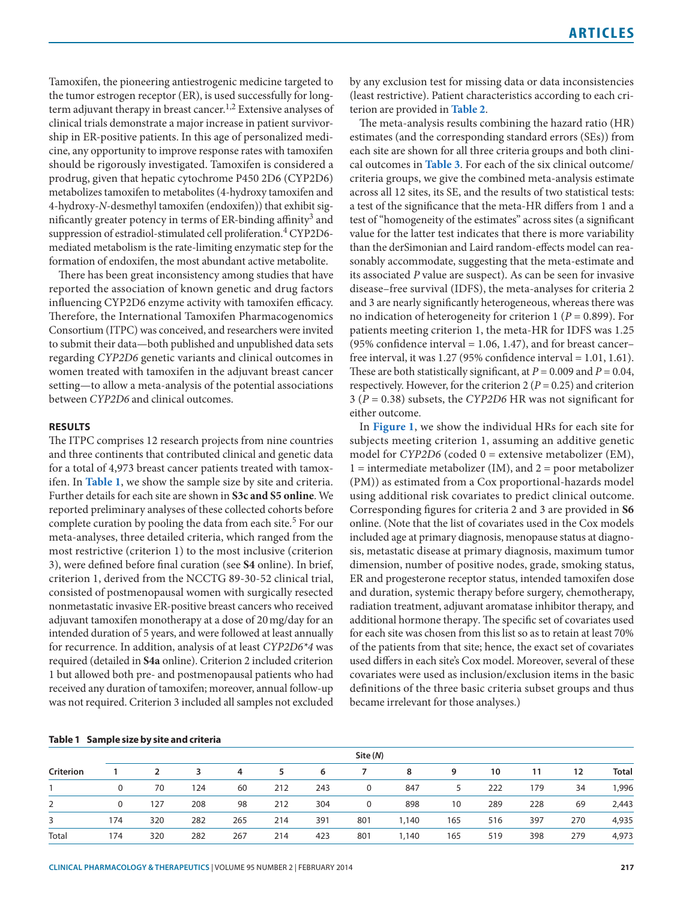Tamoxifen, the pioneering antiestrogenic medicine targeted to the tumor estrogen receptor (ER), is used successfully for longterm adjuvant therapy in breast cancer.<sup>1,2</sup> Extensive analyses of clinical trials demonstrate a major increase in patient survivorship in ER-positive patients. In this age of personalized medicine, any opportunity to improve response rates with tamoxifen should be rigorously investigated. Tamoxifen is considered a prodrug, given that hepatic cytochrome P450 2D6 (CYP2D6) metabolizes tamoxifen to metabolites (4-hydroxy tamoxifen and 4-hydroxy-*N*-desmethyl tamoxifen (endoxifen)) that exhibit significantly greater potency in terms of ER-binding affinity<sup>3</sup> and suppression of estradiol-stimulated cell proliferation.4 CYP2D6 mediated metabolism is the rate-limiting enzymatic step for the formation of endoxifen, the most abundant active metabolite.

There has been great inconsistency among studies that have reported the association of known genetic and drug factors influencing CYP2D6 enzyme activity with tamoxifen efficacy. Therefore, the International Tamoxifen Pharmacogenomics Consortium (ITPC) was conceived, and researchers were invited to submit their data—both published and unpublished data sets regarding *CYP2D6* genetic variants and clinical outcomes in women treated with tamoxifen in the adjuvant breast cancer setting—to allow a meta-analysis of the potential associations between *CYP2D6* and clinical outcomes.

# **RESULTS**

The ITPC comprises 12 research projects from nine countries and three continents that contributed clinical and genetic data for a total of 4,973 breast cancer patients treated with tamoxifen. In **[Table 1](#page-1-0)**, we show the sample size by site and criteria. Further details for each site are shown in **S3c and S5 online**. We reported preliminary analyses of these collected cohorts before complete curation by pooling the data from each site.<sup>5</sup> For our meta-analyses, three detailed criteria, which ranged from the most restrictive (criterion 1) to the most inclusive (criterion 3), were defined before final curation (see **S4** online). In brief, criterion 1, derived from the NCCTG 89-30-52 clinical trial, consisted of postmenopausal women with surgically resected nonmetastatic invasive ER-positive breast cancers who received adjuvant tamoxifen monotherapy at a dose of 20mg/day for an intended duration of 5 years, and were followed at least annually for recurrence. In addition, analysis of at least *CYP2D6\*4* was required (detailed in **S4a** online). Criterion 2 included criterion 1 but allowed both pre- and postmenopausal patients who had received any duration of tamoxifen; moreover, annual follow-up was not required. Criterion 3 included all samples not excluded by any exclusion test for missing data or data inconsistencies (least restrictive). Patient characteristics according to each criterion are provided in **[Table 2](#page-2-0)**.

The meta-analysis results combining the hazard ratio (HR) estimates (and the corresponding standard errors (SEs)) from each site are shown for all three criteria groups and both clinical outcomes in **[Table 3](#page-3-0)**. For each of the six clinical outcome/ criteria groups, we give the combined meta-analysis estimate across all 12 sites, its SE, and the results of two statistical tests: a test of the significance that the meta-HR differs from 1 and a test of "homogeneity of the estimates" across sites (a significant value for the latter test indicates that there is more variability than the derSimonian and Laird random-effects model can reasonably accommodate, suggesting that the meta-estimate and its associated *P* value are suspect). As can be seen for invasive disease–free survival (IDFS), the meta-analyses for criteria 2 and 3 are nearly significantly heterogeneous, whereas there was no indication of heterogeneity for criterion 1 (*P* = 0.899). For patients meeting criterion 1, the meta-HR for IDFS was 1.25  $(95\%$  confidence interval = 1.06, 1.47), and for breast cancerfree interval, it was 1.27 (95% confidence interval = 1.01, 1.61). These are both statistically significant, at  $P = 0.009$  and  $P = 0.04$ , respectively. However, for the criterion  $2 (P = 0.25)$  and criterion 3 (*P* = 0.38) subsets, the *CYP2D6* HR was not significant for either outcome.

In **[Figure 1](#page-4-0)**, we show the individual HRs for each site for subjects meeting criterion 1, assuming an additive genetic model for *CYP2D6* (coded 0 = extensive metabolizer (EM),  $1 =$  intermediate metabolizer (IM), and  $2 =$  poor metabolizer (PM)) as estimated from a Cox proportional-hazards model using additional risk covariates to predict clinical outcome. Corresponding figures for criteria 2 and 3 are provided in **S6** online. (Note that the list of covariates used in the Cox models included age at primary diagnosis, menopause status at diagnosis, metastatic disease at primary diagnosis, maximum tumor dimension, number of positive nodes, grade, smoking status, ER and progesterone receptor status, intended tamoxifen dose and duration, systemic therapy before surgery, chemotherapy, radiation treatment, adjuvant aromatase inhibitor therapy, and additional hormone therapy. The specific set of covariates used for each site was chosen from this list so as to retain at least 70% of the patients from that site; hence, the exact set of covariates used differs in each site's Cox model. Moreover, several of these covariates were used as inclusion/exclusion items in the basic definitions of the three basic criteria subset groups and thus became irrelevant for those analyses.)

#### <span id="page-1-0"></span>**Table 1 Sample size by site and criteria**

| Criterion    |              | Site (N) |     |     |     |     |     |       |     |     |     |     |              |
|--------------|--------------|----------|-----|-----|-----|-----|-----|-------|-----|-----|-----|-----|--------------|
|              |              | 2        | 3   | 4   | 5   | 6   |     | 8     | 9   | 10  | 11  | 12  | <b>Total</b> |
|              | $\mathbf{0}$ | 70       | 124 | 60  | 212 | 243 | 0   | 847   | 5   | 222 | 179 | 34  | 1,996        |
| 2            | $\mathbf{0}$ | 127      | 208 | 98  | 212 | 304 | 0   | 898   | 10  | 289 | 228 | 69  | 2,443        |
| 3            | 174          | 320      | 282 | 265 | 214 | 391 | 801 | 1,140 | 165 | 516 | 397 | 270 | 4,935        |
| <b>Total</b> | 174          | 320      | 282 | 267 | 214 | 423 | 801 | 1,140 | 165 | 519 | 398 | 279 | 4,973        |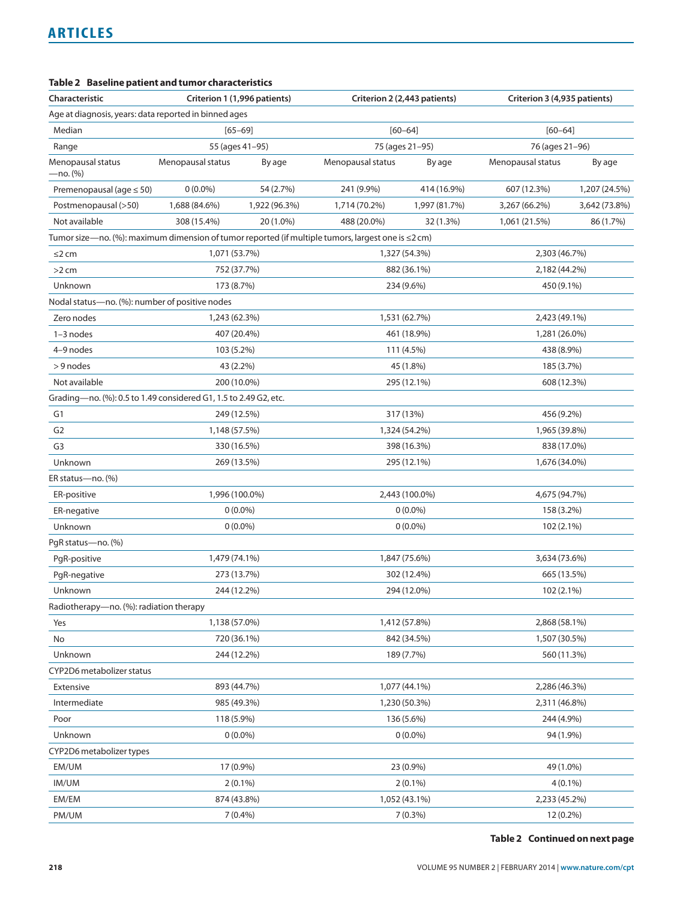# <span id="page-2-0"></span>**Table 2 Baseline patient and tumor characteristics**

| Characteristic                                                                                     | Criterion 1 (1,996 patients) |               |                   | Criterion 2 (2,443 patients) | Criterion 3 (4,935 patients) |               |  |
|----------------------------------------------------------------------------------------------------|------------------------------|---------------|-------------------|------------------------------|------------------------------|---------------|--|
| Age at diagnosis, years: data reported in binned ages                                              |                              |               |                   |                              |                              |               |  |
| Median                                                                                             | $[65 - 69]$                  |               |                   | $[60 - 64]$                  | $[60 - 64]$                  |               |  |
| Range                                                                                              | 55 (ages 41-95)              |               |                   | 75 (ages 21-95)              | 76 (ages 21-96)              |               |  |
| Menopausal status<br>—no. (%)                                                                      | Menopausal status            | By age        | Menopausal status | By age                       |                              | By age        |  |
| Premenopausal (age $\leq$ 50)                                                                      | $0(0.0\%)$                   | 54 (2.7%)     | 241 (9.9%)        | 414 (16.9%)                  | 607 (12.3%)                  | 1,207 (24.5%) |  |
| Postmenopausal (>50)                                                                               | 1,688 (84.6%)                | 1,922 (96.3%) | 1,714 (70.2%)     | 1,997 (81.7%)                | 3,267 (66.2%)                | 3,642 (73.8%) |  |
| Not available                                                                                      | 308 (15.4%)                  | 20 (1.0%)     | 488 (20.0%)       | 32 (1.3%)                    | 1,061 (21.5%)                | 86 (1.7%)     |  |
| Tumor size—no. (%): maximum dimension of tumor reported (if multiple tumors, largest one is ≤2 cm) |                              |               |                   |                              |                              |               |  |
| $\leq$ 2 cm                                                                                        | 1,071 (53.7%)                |               |                   | 1,327 (54.3%)                | 2,303 (46.7%)                |               |  |
| $>2$ cm                                                                                            | 752 (37.7%)                  |               |                   | 882 (36.1%)                  | 2,182 (44.2%)                |               |  |
| Unknown                                                                                            | 173 (8.7%)                   |               |                   | 234 (9.6%)                   | 450 (9.1%)                   |               |  |
| Nodal status-no. (%): number of positive nodes                                                     |                              |               |                   |                              |                              |               |  |
| Zero nodes                                                                                         | 1,243 (62.3%)                |               |                   | 1,531 (62.7%)                | 2,423 (49.1%)                |               |  |
| $1-3$ nodes                                                                                        | 407 (20.4%)                  |               |                   | 461 (18.9%)                  | 1,281 (26.0%)                |               |  |
| 4-9 nodes                                                                                          | 103 (5.2%)                   |               |                   | 111 (4.5%)                   | 438 (8.9%)                   |               |  |
| >9 nodes                                                                                           | 43 (2.2%)                    |               |                   | 45 (1.8%)                    | 185 (3.7%)                   |               |  |
| Not available                                                                                      | 200 (10.0%)                  |               |                   | 295 (12.1%)                  | 608 (12.3%)                  |               |  |
| Grading-no. (%): 0.5 to 1.49 considered G1, 1.5 to 2.49 G2, etc.                                   |                              |               |                   |                              |                              |               |  |
| G1                                                                                                 | 249 (12.5%)                  |               |                   | 317 (13%)                    | 456 (9.2%)                   |               |  |
| G <sub>2</sub>                                                                                     |                              | 1,148 (57.5%) |                   | 1,324 (54.2%)                | 1,965 (39.8%)                |               |  |
| G <sub>3</sub>                                                                                     |                              | 330 (16.5%)   |                   | 398 (16.3%)                  | 838 (17.0%)                  |               |  |
| Unknown<br>269 (13.5%)                                                                             |                              |               | 295 (12.1%)       | 1,676 (34.0%)                |                              |               |  |
| ER status-no. (%)                                                                                  |                              |               |                   |                              |                              |               |  |
| ER-positive                                                                                        | 1,996 (100.0%)               |               |                   | 2,443 (100.0%)               | 4,675 (94.7%)                |               |  |
| ER-negative                                                                                        | $0(0.0\%)$                   |               |                   | $0(0.0\%)$                   | 158 (3.2%)                   |               |  |
| Unknown                                                                                            | $0(0.0\%)$                   |               |                   | $0(0.0\%)$                   | 102 (2.1%)                   |               |  |
| PgR status-no. (%)                                                                                 |                              |               |                   |                              |                              |               |  |
| PgR-positive                                                                                       | 1,479 (74.1%)                |               |                   | 1,847 (75.6%)                | 3,634 (73.6%)                |               |  |
| PgR-negative                                                                                       | 273 (13.7%)                  |               |                   | 302 (12.4%)                  | 665 (13.5%)                  |               |  |
| Unknown                                                                                            | 244 (12.2%)                  |               |                   | 294 (12.0%)                  | 102 (2.1%)                   |               |  |
| Radiotherapy-no. (%): radiation therapy                                                            |                              |               |                   |                              |                              |               |  |
| Yes                                                                                                | 1,138 (57.0%)                |               |                   | 1,412 (57.8%)                | 2,868 (58.1%)                |               |  |
| No                                                                                                 | 720 (36.1%)                  |               |                   | 842 (34.5%)                  | 1,507 (30.5%)                |               |  |
| Unknown                                                                                            | 244 (12.2%)                  |               |                   | 189 (7.7%)                   | 560 (11.3%)                  |               |  |
| CYP2D6 metabolizer status                                                                          |                              |               |                   |                              |                              |               |  |
| Extensive                                                                                          | 893 (44.7%)                  |               |                   | 1,077 (44.1%)                | 2,286 (46.3%)                |               |  |
| Intermediate                                                                                       | 985 (49.3%)                  |               |                   | 1,230 (50.3%)                | 2,311 (46.8%)                |               |  |
| Poor                                                                                               | 118 (5.9%)                   |               |                   | 136 (5.6%)                   | 244 (4.9%)                   |               |  |
| Unknown                                                                                            | $0(0.0\%)$                   |               | $0(0.0\%)$        |                              | 94 (1.9%)                    |               |  |
| CYP2D6 metabolizer types                                                                           |                              |               |                   |                              |                              |               |  |
| EM/UM                                                                                              | 17 (0.9%)                    |               |                   | 23 (0.9%)                    | 49 (1.0%)                    |               |  |
| IM/UM                                                                                              | $2(0.1\%)$                   |               |                   | $2(0.1\%)$                   |                              | $4(0.1\%)$    |  |
| EM/EM                                                                                              | 874 (43.8%)                  |               |                   | 1,052 (43.1%)                |                              | 2,233 (45.2%) |  |
| PM/UM                                                                                              | $7(0.4\%)$                   |               |                   | $7(0.3\%)$                   | 12 (0.2%)                    |               |  |

# **Table 2 Continued on next page**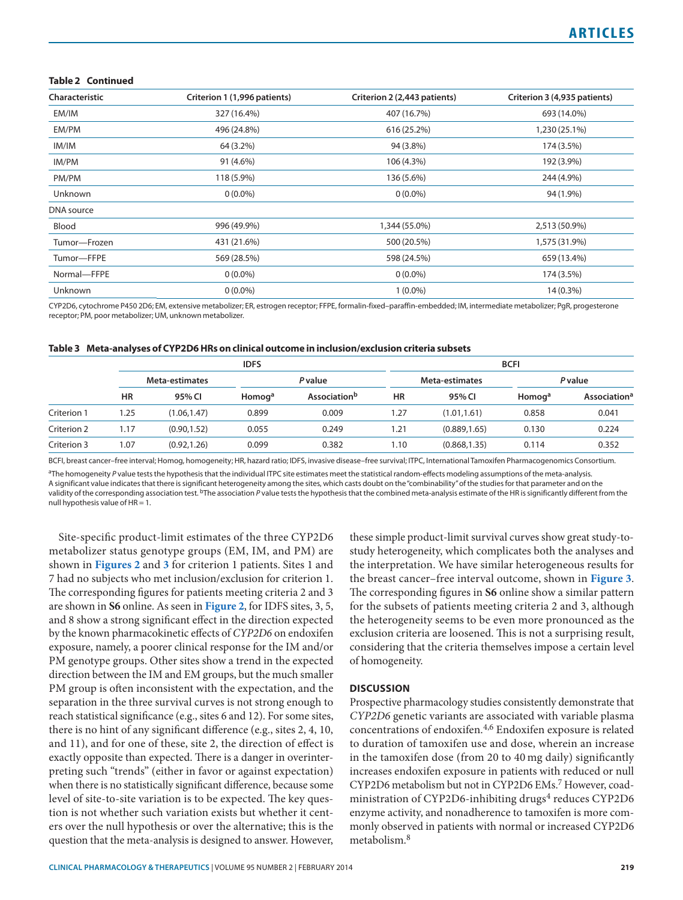#### **Table 2 Continued**

| Characteristic | Criterion 1 (1,996 patients) | Criterion 2 (2,443 patients) | Criterion 3 (4,935 patients) |
|----------------|------------------------------|------------------------------|------------------------------|
| EM/IM          | 327 (16.4%)                  | 407 (16.7%)                  | 693 (14.0%)                  |
| EM/PM          | 496 (24.8%)                  | 616 (25.2%)                  | 1,230 (25.1%)                |
| IM/IM          | 64 (3.2%)                    | 94 (3.8%)                    | 174 (3.5%)                   |
| IM/PM          | 91 (4.6%)                    | 106 (4.3%)                   | 192 (3.9%)                   |
| PM/PM          | 118 (5.9%)                   | 136 (5.6%)                   | 244 (4.9%)                   |
| Unknown        | $0(0.0\%)$                   | $0(0.0\%)$                   | 94 (1.9%)                    |
| DNA source     |                              |                              |                              |
| Blood          | 996 (49.9%)                  | 1,344 (55.0%)                | 2,513 (50.9%)                |
| Tumor-Frozen   | 431 (21.6%)                  | 500 (20.5%)                  | 1,575 (31.9%)                |
| Tumor-FFPE     | 569 (28.5%)                  | 598 (24.5%)                  | 659 (13.4%)                  |
| Normal-FFPE    | $0(0.0\%)$                   | $0(0.0\%)$                   | 174 (3.5%)                   |
| Unknown        | $0(0.0\%)$                   | $1(0.0\%)$                   | 14 (0.3%)                    |

CYP2D6, cytochrome P450 2D6; EM, extensive metabolizer; ER, estrogen receptor; FFPE, formalin-fixed–paraffin-embedded; IM, intermediate metabolizer; PgR, progesterone receptor; PM, poor metabolizer; UM, unknown metabolizer.

<span id="page-3-0"></span>

|  |  |  | Table 3 Meta-analyses of CYP2D6 HRs on clinical outcome in inclusion/exclusion criteria subsets |  |  |  |  |  |  |
|--|--|--|-------------------------------------------------------------------------------------------------|--|--|--|--|--|--|
|--|--|--|-------------------------------------------------------------------------------------------------|--|--|--|--|--|--|

|             | <b>IDFS</b>           |              |                    |                                 |      | <b>BCFI</b>    |                    |                          |  |
|-------------|-----------------------|--------------|--------------------|---------------------------------|------|----------------|--------------------|--------------------------|--|
|             | <b>Meta-estimates</b> |              | P value            |                                 |      | Meta-estimates | <b>P</b> value     |                          |  |
|             | HR                    | 95% CI       | Homog <sup>a</sup> | <b>Association</b> <sup>b</sup> | HR   | 95% CI         | Homog <sup>a</sup> | Association <sup>a</sup> |  |
| Criterion 1 | 1.25                  | (1.06, 1.47) | 0.899              | 0.009                           | 1.27 | (1.01.1.61)    | 0.858              | 0.041                    |  |
| Criterion 2 | 1.17                  | (0.90, 1.52) | 0.055              | 0.249                           | 1.21 | (0.889.1.65)   | 0.130              | 0.224                    |  |
| Criterion 3 | 1.07                  | (0.92, 1.26) | 0.099              | 0.382                           | 1.10 | (0.868, 1.35)  | 0.114              | 0.352                    |  |

BCFI, breast cancer–free interval; Homog, homogeneity; HR, hazard ratio; IDFS, invasive disease–free survival; ITPC, International Tamoxifen Pharmacogenomics Consortium.

aThe homogeneity P value tests the hypothesis that the individual ITPC site estimates meet the statistical random-effects modeling assumptions of the meta-analysis. A significant value indicates that there is significant heterogeneity among the sites, which casts doubt on the "combinability" of the studies for that parameter and on the validity of the corresponding association test. <sup>b</sup>The association P value tests the hypothesis that the combined meta-analysis estimate of the HR is significantly different from the null hypothesis value of HR = 1.

Site-specific product-limit estimates of the three CYP2D6 metabolizer status genotype groups (EM, IM, and PM) are shown in **[Figures 2](#page-6-0)** and **[3](#page-8-0)** for criterion 1 patients. Sites 1 and 7 had no subjects who met inclusion/exclusion for criterion 1. The corresponding figures for patients meeting criteria 2 and 3 are shown in **S6** online. As seen in **[Figure 2](#page-6-0)**, for IDFS sites, 3, 5, and 8 show a strong significant effect in the direction expected by the known pharmacokinetic effects of *CYP2D6* on endoxifen exposure, namely, a poorer clinical response for the IM and/or PM genotype groups. Other sites show a trend in the expected direction between the IM and EM groups, but the much smaller PM group is often inconsistent with the expectation, and the separation in the three survival curves is not strong enough to reach statistical significance (e.g., sites 6 and 12). For some sites, there is no hint of any significant difference (e.g., sites 2, 4, 10, and 11), and for one of these, site 2, the direction of effect is exactly opposite than expected. There is a danger in overinterpreting such "trends" (either in favor or against expectation) when there is no statistically significant difference, because some level of site-to-site variation is to be expected. The key question is not whether such variation exists but whether it centers over the null hypothesis or over the alternative; this is the question that the meta-analysis is designed to answer. However, these simple product-limit survival curves show great study-tostudy heterogeneity, which complicates both the analyses and the interpretation. We have similar heterogeneous results for the breast cancer–free interval outcome, shown in **[Figure 3](#page-8-0)**. The corresponding figures in **S6** online show a similar pattern for the subsets of patients meeting criteria 2 and 3, although the heterogeneity seems to be even more pronounced as the exclusion criteria are loosened. This is not a surprising result, considering that the criteria themselves impose a certain level of homogeneity.

#### **DISCUSSION**

Prospective pharmacology studies consistently demonstrate that *CYP2D6* genetic variants are associated with variable plasma concentrations of endoxifen.4,6 Endoxifen exposure is related to duration of tamoxifen use and dose, wherein an increase in the tamoxifen dose (from 20 to 40 mg daily) significantly increases endoxifen exposure in patients with reduced or null CYP2D6 metabolism but not in CYP2D6 EMs.<sup>7</sup> However, coadministration of CYP2D6-inhibiting drugs<sup>4</sup> reduces CYP2D6 enzyme activity, and nonadherence to tamoxifen is more commonly observed in patients with normal or increased CYP2D6 metabolism.8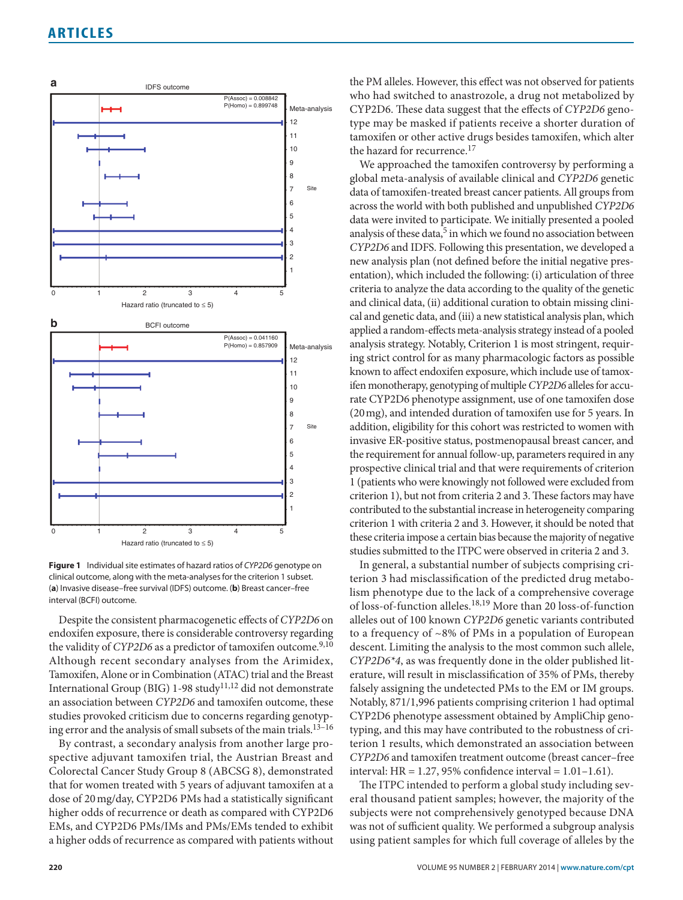<span id="page-4-0"></span>

**Figure 1** Individual site estimates of hazard ratios of *CYP2D6* genotype on clinical outcome, along with the meta-analyses for the criterion 1 subset. (**a**) Invasive disease–free survival (IDFS) outcome. (**b**) Breast cancer–free interval (BCFI) outcome.

Despite the consistent pharmacogenetic effects of *CYP2D6* on endoxifen exposure, there is considerable controversy regarding the validity of *CYP2D6* as a predictor of tamoxifen outcome.<sup>9,10</sup> Although recent secondary analyses from the Arimidex, Tamoxifen, Alone or in Combination (ATAC) trial and the Breast International Group (BIG) 1-98 study<sup>11,12</sup> did not demonstrate an association between *CYP2D6* and tamoxifen outcome, these studies provoked criticism due to concerns regarding genotyping error and the analysis of small subsets of the main trials.13–16

By contrast, a secondary analysis from another large prospective adjuvant tamoxifen trial, the Austrian Breast and Colorectal Cancer Study Group 8 (ABCSG 8), demonstrated that for women treated with 5 years of adjuvant tamoxifen at a dose of 20mg/day, CYP2D6 PMs had a statistically significant higher odds of recurrence or death as compared with CYP2D6 EMs, and CYP2D6 PMs/IMs and PMs/EMs tended to exhibit a higher odds of recurrence as compared with patients without

the PM alleles. However, this effect was not observed for patients who had switched to anastrozole, a drug not metabolized by CYP2D6. These data suggest that the effects of *CYP2D6* genotype may be masked if patients receive a shorter duration of tamoxifen or other active drugs besides tamoxifen, which alter the hazard for recurrence.<sup>17</sup>

We approached the tamoxifen controversy by performing a global meta-analysis of available clinical and *CYP2D6* genetic data of tamoxifen-treated breast cancer patients. All groups from across the world with both published and unpublished *CYP2D6* data were invited to participate. We initially presented a pooled analysis of these data, $5$  in which we found no association between *CYP2D6* and IDFS. Following this presentation, we developed a new analysis plan (not defined before the initial negative presentation), which included the following: (i) articulation of three criteria to analyze the data according to the quality of the genetic and clinical data, (ii) additional curation to obtain missing clinical and genetic data, and (iii) a new statistical analysis plan, which applied a random-effects meta-analysis strategy instead of a pooled analysis strategy. Notably, Criterion 1 is most stringent, requiring strict control for as many pharmacologic factors as possible known to affect endoxifen exposure, which include use of tamoxifen monotherapy, genotyping of multiple *CYP2D6* alleles for accurate CYP2D6 phenotype assignment, use of one tamoxifen dose (20mg), and intended duration of tamoxifen use for 5 years. In addition, eligibility for this cohort was restricted to women with invasive ER-positive status, postmenopausal breast cancer, and the requirement for annual follow-up, parameters required in any prospective clinical trial and that were requirements of criterion 1 (patients who were knowingly not followed were excluded from criterion 1), but not from criteria 2 and 3. These factors may have contributed to the substantial increase in heterogeneity comparing criterion 1 with criteria 2 and 3. However, it should be noted that these criteria impose a certain bias because the majority of negative studies submitted to the ITPC were observed in criteria 2 and 3.

In general, a substantial number of subjects comprising criterion 3 had misclassification of the predicted drug metabolism phenotype due to the lack of a comprehensive coverage of loss-of-function alleles.18,19 More than 20 loss-of-function alleles out of 100 known *CYP2D6* genetic variants contributed to a frequency of ~8% of PMs in a population of European descent. Limiting the analysis to the most common such allele, *CYP2D6\*4*, as was frequently done in the older published literature, will result in misclassification of 35% of PMs, thereby falsely assigning the undetected PMs to the EM or IM groups. Notably, 871/1,996 patients comprising criterion 1 had optimal CYP2D6 phenotype assessment obtained by AmpliChip genotyping, and this may have contributed to the robustness of criterion 1 results, which demonstrated an association between *CYP2D6* and tamoxifen treatment outcome (breast cancer–free interval: HR =  $1.27$ , 95% confidence interval =  $1.01$ – $1.61$ ).

The ITPC intended to perform a global study including several thousand patient samples; however, the majority of the subjects were not comprehensively genotyped because DNA was not of sufficient quality. We performed a subgroup analysis using patient samples for which full coverage of alleles by the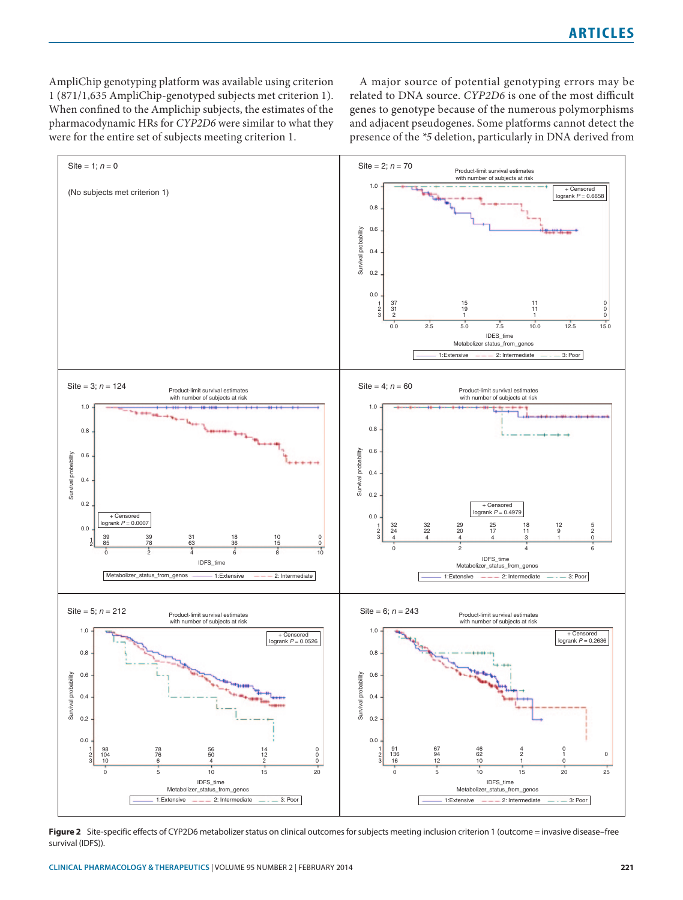AmpliChip genotyping platform was available using criterion 1 (871/1,635 AmpliChip-genotyped subjects met criterion 1). When confined to the Amplichip subjects, the estimates of the pharmacodynamic HRs for *CYP2D6* were similar to what they were for the entire set of subjects meeting criterion 1.

A major source of potential genotyping errors may be related to DNA source. *CYP2D6* is one of the most difficult genes to genotype because of the numerous polymorphisms and adjacent pseudogenes. Some platforms cannot detect the presence of the *\*5* deletion, particularly in DNA derived from



**Figure 2** Site-specific effects of CYP2D6 metabolizer status on clinical outcomes for subjects meeting inclusion criterion 1 (outcome = invasive disease–free survival (IDFS)).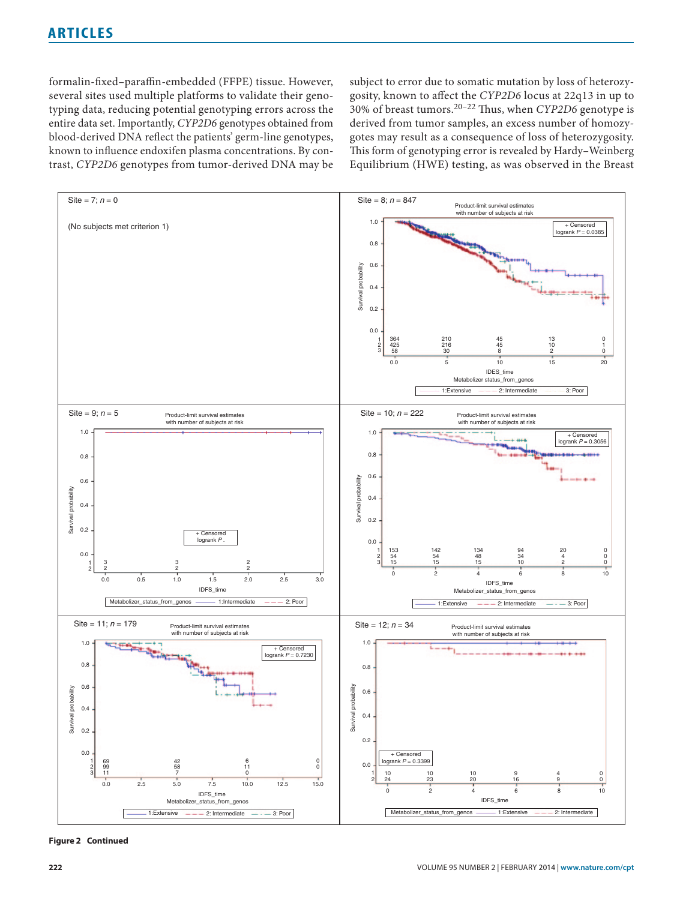formalin-fixed–paraffin-embedded (FFPE) tissue. However, several sites used multiple platforms to validate their genotyping data, reducing potential genotyping errors across the entire data set. Importantly, *CYP2D6* genotypes obtained from blood-derived DNA reflect the patients' germ-line genotypes, known to influence endoxifen plasma concentrations. By contrast, *CYP2D6* genotypes from tumor-derived DNA may be subject to error due to somatic mutation by loss of heterozygosity, known to affect the *CYP2D6* locus at 22q13 in up to 30% of breast tumors.20–22 Thus, when *CYP2D6* genotype is derived from tumor samples, an excess number of homozygotes may result as a consequence of loss of heterozygosity. This form of genotyping error is revealed by Hardy–Weinberg Equilibrium (HWE) testing, as was observed in the Breast

<span id="page-6-0"></span>

**Figure 2 Continued**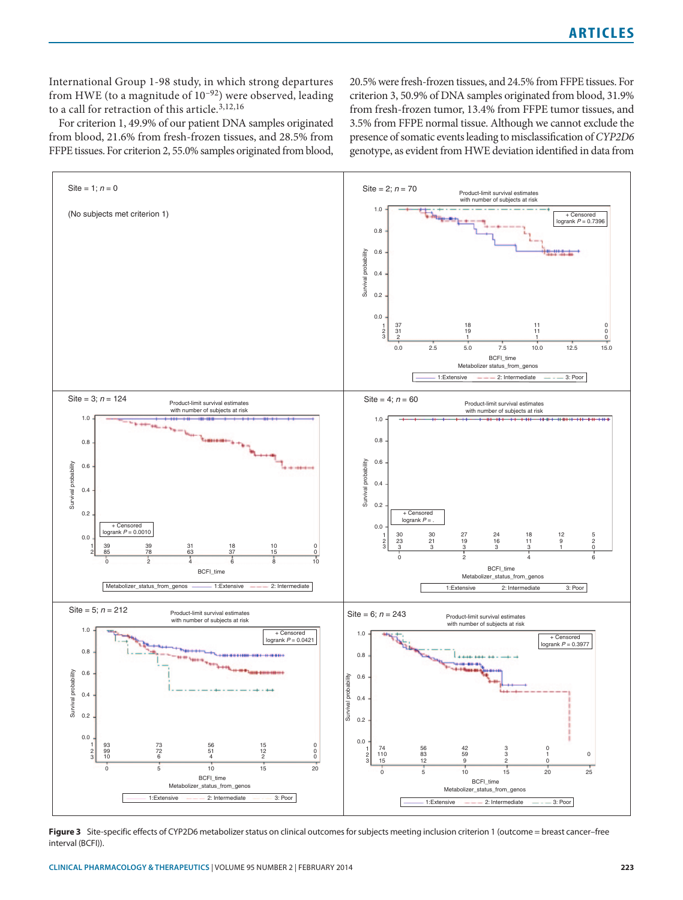International Group 1-98 study, in which strong departures from HWE (to a magnitude of  $10^{-92}$ ) were observed, leading to a call for retraction of this article.<sup>3,12,16</sup>

For criterion 1, 49.9% of our patient DNA samples originated from blood, 21.6% from fresh-frozen tissues, and 28.5% from FFPE tissues. For criterion 2, 55.0% samples originated from blood, 20.5% were fresh-frozen tissues, and 24.5% from FFPE tissues. For criterion 3, 50.9% of DNA samples originated from blood, 31.9% from fresh-frozen tumor, 13.4% from FFPE tumor tissues, and 3.5% from FFPE normal tissue. Although we cannot exclude the presence of somatic events leading to misclassification of *CYP2D6* genotype, as evident from HWE deviation identified in data from



**Figure 3** Site-specific effects of CYP2D6 metabolizer status on clinical outcomes for subjects meeting inclusion criterion 1 (outcome = breast cancer–free interval (BCFI)).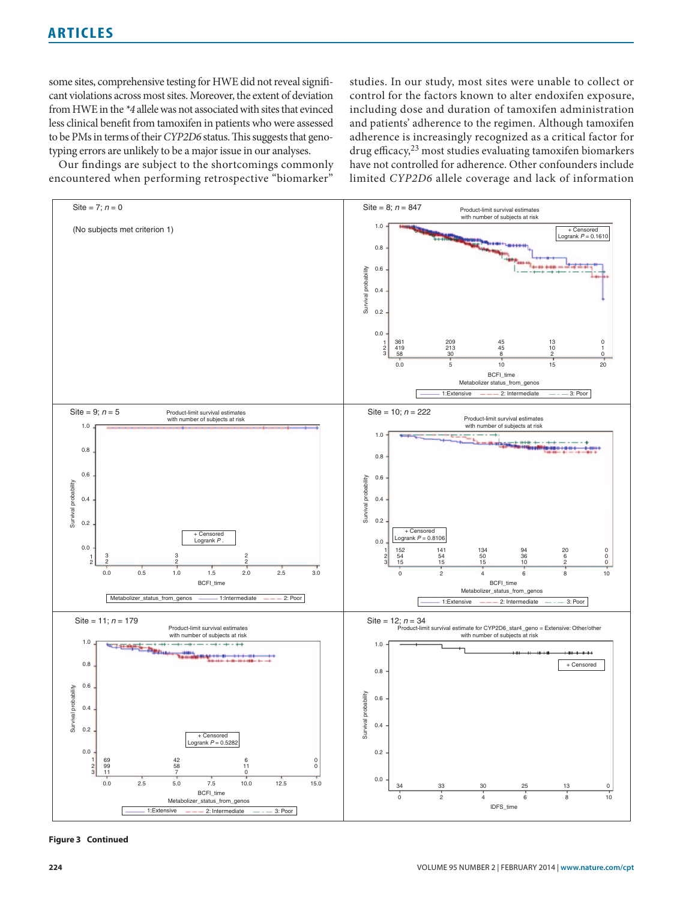some sites, comprehensive testing for HWE did not reveal significant violations across most sites. Moreover, the extent of deviation from HWE in the *\*4* allele was not associated with sites that evinced less clinical benefit from tamoxifen in patients who were assessed to be PMs in terms of their *CYP2D6* status. This suggests that genotyping errors are unlikely to be a major issue in our analyses.

Our findings are subject to the shortcomings commonly encountered when performing retrospective "biomarker"

studies. In our study, most sites were unable to collect or control for the factors known to alter endoxifen exposure, including dose and duration of tamoxifen administration and patients' adherence to the regimen. Although tamoxifen adherence is increasingly recognized as a critical factor for drug efficacy,<sup>23</sup> most studies evaluating tamoxifen biomarkers have not controlled for adherence. Other confounders include limited *CYP2D6* allele coverage and lack of information

<span id="page-8-0"></span>

**Figure 3 Continued**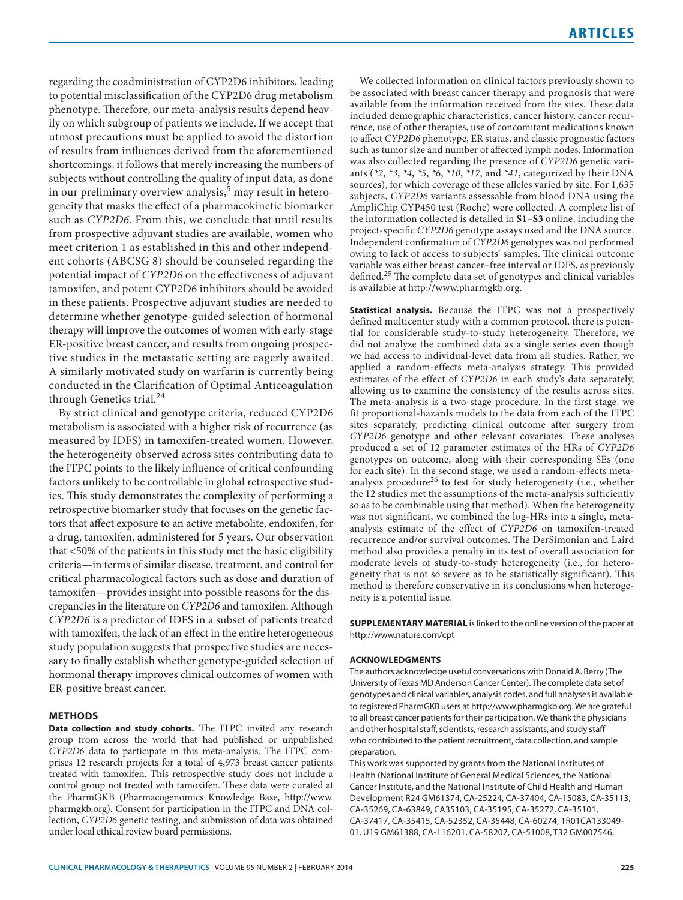regarding the coadministration of CYP2D6 inhibitors, leading to potential misclassification of the CYP2D6 drug metabolism phenotype. Therefore, our meta-analysis results depend heavily on which subgroup of patients we include. If we accept that utmost precautions must be applied to avoid the distortion of results from influences derived from the aforementioned shortcomings, it follows that merely increasing the numbers of subjects without controlling the quality of input data, as done in our preliminary overview analysis, $5$  may result in heterogeneity that masks the effect of a pharmacokinetic biomarker such as *CYP2D6*. From this, we conclude that until results from prospective adjuvant studies are available, women who meet criterion 1 as established in this and other independent cohorts (ABCSG 8) should be counseled regarding the potential impact of *CYP2D6* on the effectiveness of adjuvant tamoxifen, and potent CYP2D6 inhibitors should be avoided in these patients. Prospective adjuvant studies are needed to determine whether genotype-guided selection of hormonal therapy will improve the outcomes of women with early-stage ER-positive breast cancer, and results from ongoing prospective studies in the metastatic setting are eagerly awaited. A similarly motivated study on warfarin is currently being conducted in the Clarification of Optimal Anticoagulation through Genetics trial.<sup>24</sup>

By strict clinical and genotype criteria, reduced CYP2D6 metabolism is associated with a higher risk of recurrence (as measured by IDFS) in tamoxifen-treated women. However, the heterogeneity observed across sites contributing data to the ITPC points to the likely influence of critical confounding factors unlikely to be controllable in global retrospective studies. This study demonstrates the complexity of performing a retrospective biomarker study that focuses on the genetic factors that affect exposure to an active metabolite, endoxifen, for a drug, tamoxifen, administered for 5 years. Our observation that <50% of the patients in this study met the basic eligibility criteria—in terms of similar disease, treatment, and control for critical pharmacological factors such as dose and duration of tamoxifen—provides insight into possible reasons for the discrepancies in the literature on *CYP2D6* and tamoxifen. Although *CYP2D6* is a predictor of IDFS in a subset of patients treated with tamoxifen, the lack of an effect in the entire heterogeneous study population suggests that prospective studies are necessary to finally establish whether genotype-guided selection of hormonal therapy improves clinical outcomes of women with ER-positive breast cancer.

#### **METHODS**

**Data collection and study cohorts.** The ITPC invited any research group from across the world that had published or unpublished *CYP2D6* data to participate in this meta-analysis. The ITPC comprises 12 research projects for a total of 4,973 breast cancer patients treated with tamoxifen. This retrospective study does not include a control group not treated with tamoxifen. These data were curated at the PharmGKB (Pharmacogenomics Knowledge Base, [http://www.](http://www.pharmgkb.org) [pharmgkb.org\)](http://www.pharmgkb.org). Consent for participation in the ITPC and DNA collection, *CYP2D6* genetic testing, and submission of data was obtained under local ethical review board permissions.

We collected information on clinical factors previously shown to be associated with breast cancer therapy and prognosis that were available from the information received from the sites. These data included demographic characteristics, cancer history, cancer recurrence, use of other therapies, use of concomitant medications known to affect *CYP2D6* phenotype, ER status, and classic prognostic factors such as tumor size and number of affected lymph nodes. Information was also collected regarding the presence of *CYP2D6* genetic variants (*\*2*, *\*3*, *\*4*, *\*5*, *\*6*, *\*10*, *\*17*, and *\*41*, categorized by their DNA sources), for which coverage of these alleles varied by site. For 1,635 subjects, *CYP2D6* variants assessable from blood DNA using the AmpliChip CYP450 test (Roche) were collected. A complete list of the information collected is detailed in **S1–S3** online, including the project-specific *CYP2D6* genotype assays used and the DNA source. Independent confirmation of *CYP2D6* genotypes was not performed owing to lack of access to subjects' samples. The clinical outcome variable was either breast cancer–free interval or IDFS, as previously defined.25 The complete data set of genotypes and clinical variables is available at [http://www.pharmgkb.org.](http://www.pharmgkb.org)

**Statistical analysis.** Because the ITPC was not a prospectively defined multicenter study with a common protocol, there is potential for considerable study-to-study heterogeneity. Therefore, we did not analyze the combined data as a single series even though we had access to individual-level data from all studies. Rather, we applied a random-effects meta-analysis strategy. This provided estimates of the effect of *CYP2D6* in each study's data separately, allowing us to examine the consistency of the results across sites. The meta-analysis is a two-stage procedure. In the first stage, we fit proportional-hazards models to the data from each of the ITPC sites separately, predicting clinical outcome after surgery from *CYP2D6* genotype and other relevant covariates. These analyses produced a set of 12 parameter estimates of the HRs of *CYP2D6* genotypes on outcome, along with their corresponding SEs (one for each site). In the second stage, we used a random-effects metaanalysis procedure<sup>26</sup> to test for study heterogeneity (i.e., whether the 12 studies met the assumptions of the meta-analysis sufficiently so as to be combinable using that method). When the heterogeneity was not significant, we combined the log-HRs into a single, metaanalysis estimate of the effect of *CYP2D6* on tamoxifen-treated recurrence and/or survival outcomes. The DerSimonian and Laird method also provides a penalty in its test of overall association for moderate levels of study-to-study heterogeneity (i.e., for heterogeneity that is not so severe as to be statistically significant). This method is therefore conservative in its conclusions when heterogeneity is a potential issue.

**SUPPLEMENTARY MATERIAL** is linked to the online version of the paper at <http://www.nature.com/cpt>

#### **ACKNOWLEDGMENTS**

The authors acknowledge useful conversations with Donald A. Berry (The University of Texas MD Anderson Cancer Center). The complete data set of genotypes and clinical variables, analysis codes, and full analyses is available to registered PharmGKB users at<http://www.pharmgkb.org>. We are grateful to all breast cancer patients for their participation. We thank the physicians and other hospital staff, scientists, research assistants, and study staff who contributed to the patient recruitment, data collection, and sample preparation.

This work was supported by grants from the National Institutes of Health (National Institute of General Medical Sciences, the National Cancer Institute, and the National Institute of Child Health and Human Development R24 GM61374, CA-25224, CA-37404, CA-15083, CA-35113, CA-35269, CA-63849, CA35103, CA-35195, CA-35272, CA-35101, CA-37417, CA-35415, CA-52352, CA-35448, CA-60274, 1R01CA133049- 01, U19 GM61388, CA-116201, CA-58207, CA-51008, T32 GM007546,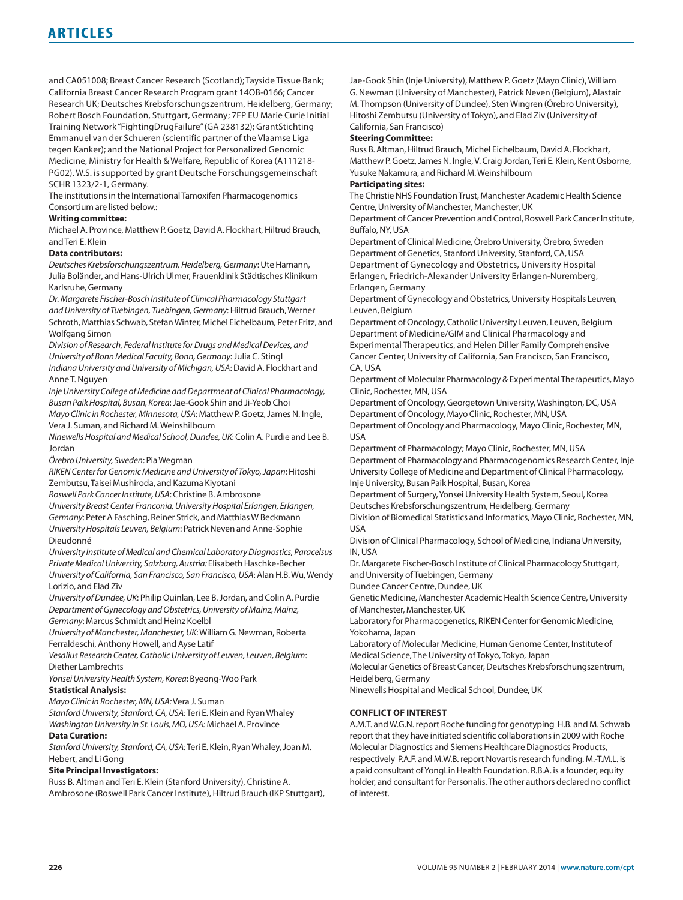# **Articles**

and CA051008; Breast Cancer Research (Scotland); Tayside Tissue Bank; California Breast Cancer Research Program grant 14OB-0166; Cancer Research UK; Deutsches Krebsforschungszentrum, Heidelberg, Germany; Robert Bosch Foundation, Stuttgart, Germany; 7FP EU Marie Curie Initial Training Network "FightingDrugFailure" (GA 238132); GrantStichting Emmanuel van der Schueren (scientific partner of the Vlaamse Liga tegen Kanker); and the National Project for Personalized Genomic Medicine, Ministry for Health & Welfare, Republic of Korea (A111218- PG02). W.S. is supported by grant Deutsche Forschungsgemeinschaft SCHR 1323/2-1, Germany.

The institutions in the International Tamoxifen Pharmacogenomics Consortium are listed below.:

#### **Writing committee:**

Michael A. Province, Matthew P. Goetz, David A. Flockhart, Hiltrud Brauch, and Teri E. Klein

## **Data contributors:**

*Deutsches Krebsforschungszentrum, Heidelberg, Germany*: Ute Hamann, Julia Boländer, and Hans-Ulrich Ulmer, Frauenklinik Städtisches Klinikum Karlsruhe, Germany

*Dr. Margarete Fischer-Bosch Institute of Clinical Pharmacology Stuttgart and University of Tuebingen, Tuebingen, Germany*: Hiltrud Brauch, Werner Schroth, Matthias Schwab, Stefan Winter, Michel Eichelbaum, Peter Fritz, and Wolfgang Simon

*Division of Research, Federal Institute for Drugs and Medical Devices, and University of Bonn Medical Faculty, Bonn, Germany*: Julia C. Stingl *Indiana University and University of Michigan, USA*: David A. Flockhart and Anne T. Nguyen

*Inje University College of Medicine and Department of Clinical Pharmacology, Busan Paik Hospital, Busan, Korea*: Jae-Gook Shin and Ji-Yeob Choi *Mayo Clinic in Rochester, Minnesota, USA*: Matthew P. Goetz, James N. Ingle, Vera J. Suman, and Richard M. Weinshilboum

*Ninewells Hospital and Medical School, Dundee, UK*: Colin A. Purdie and Lee B. Jordan

*Örebro University, Sweden*: Pia Wegman

*RIKEN Center for Genomic Medicine and University of Tokyo, Japan*: Hitoshi Zembutsu, Taisei Mushiroda, and Kazuma Kiyotani

*Roswell Park Cancer Institute, USA*: Christine B. Ambrosone

*University Breast Center Franconia, University Hospital Erlangen, Erlangen, Germany*: Peter A Fasching, Reiner Strick, and Matthias W Beckmann *University Hospitals Leuven, Belgium*: Patrick Neven and Anne-Sophie Dieudonné

*University Institute of Medical and Chemical Laboratory Diagnostics, Paracelsus Private Medical University, Salzburg, Austria:* Elisabeth Haschke-Becher *University of California, San Francisco, San Francisco, USA*: Alan H.B. Wu, Wendy Lorizio, and Elad Ziv

*University of Dundee, UK*: Philip Quinlan, Lee B. Jordan, and Colin A. Purdie *Department of Gynecology and Obstetrics, University of Mainz, Mainz, Germany*: Marcus Schmidt and Heinz Koelbl

*University of Manchester, Manchester, UK*: William G. Newman, Roberta

Ferraldeschi, Anthony Howell, and Ayse Latif

*Vesalius Research Center, Catholic University of Leuven, Leuven, Belgium*: Diether Lambrechts

*Yonsei University Health System, Korea*: Byeong-Woo Park

**Statistical Analysis:**

*Mayo Clinic in Rochester, MN, USA:* Vera J. Suman *Stanford University, Stanford, CA, USA:* Teri E. Klein and Ryan Whaley *Washington University in St. Louis, MO, USA:* Michael A. Province

#### **Data Curation:**

*Stanford University, Stanford, CA, USA:* Teri E. Klein, Ryan Whaley, Joan M. Hebert, and Li Gong

#### **Site Principal Investigators:**

Russ B. Altman and Teri E. Klein (Stanford University), Christine A. Ambrosone (Roswell Park Cancer Institute), Hiltrud Brauch (IKP Stuttgart), Jae-Gook Shin (Inje University), Matthew P. Goetz (Mayo Clinic), William G. Newman (University of Manchester), Patrick Neven (Belgium), Alastair M. Thompson (University of Dundee), Sten Wingren (Örebro University), Hitoshi Zembutsu (University of Tokyo), and Elad Ziv (University of California, San Francisco)

#### **Steering Committee:**

Russ B. Altman, Hiltrud Brauch, Michel Eichelbaum, David A. Flockhart, Matthew P. Goetz, James N. Ingle, V. Craig Jordan, Teri E. Klein, Kent Osborne, Yusuke Nakamura, and Richard M. Weinshilboum

#### **Participating sites:**

The Christie NHS Foundation Trust, Manchester Academic Health Science Centre, University of Manchester, Manchester, UK

Department of Cancer Prevention and Control, Roswell Park Cancer Institute, Buffalo, NY, USA

Department of Clinical Medicine, Örebro University, Örebro, Sweden Department of Genetics, Stanford University, Stanford, CA, USA Department of Gynecology and Obstetrics, University Hospital Erlangen, Friedrich-Alexander University Erlangen-Nuremberg, Erlangen, Germany

Department of Gynecology and Obstetrics, University Hospitals Leuven, Leuven, Belgium

Department of Oncology, Catholic University Leuven, Leuven, Belgium Department of Medicine/GIM and Clinical Pharmacology and Experimental Therapeutics, and Helen Diller Family Comprehensive Cancer Center, University of California, San Francisco, San Francisco, CA, USA

Department of Molecular Pharmacology & Experimental Therapeutics, Mayo Clinic, Rochester, MN, USA

Department of Oncology, Georgetown University, Washington, DC, USA Department of Oncology, Mayo Clinic, Rochester, MN, USA Department of Oncology and Pharmacology, Mayo Clinic, Rochester, MN, USA

Department of Pharmacology; Mayo Clinic, Rochester, MN, USA Department of Pharmacology and Pharmacogenomics Research Center, Inje University College of Medicine and Department of Clinical Pharmacology, Inje University, Busan Paik Hospital, Busan, Korea

Department of Surgery, Yonsei University Health System, Seoul, Korea Deutsches Krebsforschungszentrum, Heidelberg, Germany

Division of Biomedical Statistics and Informatics, Mayo Clinic, Rochester, MN, USA

Division of Clinical Pharmacology, School of Medicine, Indiana University, IN, USA

Dr. Margarete Fischer-Bosch Institute of Clinical Pharmacology Stuttgart, and University of Tuebingen, Germany

Dundee Cancer Centre, Dundee, UK

Genetic Medicine, Manchester Academic Health Science Centre, University of Manchester, Manchester, UK

Laboratory for Pharmacogenetics, RIKEN Center for Genomic Medicine, Yokohama, Japan

Laboratory of Molecular Medicine, Human Genome Center, Institute of Medical Science, The University of Tokyo, Tokyo, Japan

Molecular Genetics of Breast Cancer, Deutsches Krebsforschungszentrum, Heidelberg, Germany

Ninewells Hospital and Medical School, Dundee, UK

#### **CONFLICT OF INTEREST**

A.M.T. and W.G.N. report Roche funding for genotyping H.B. and M. Schwab report that they have initiated scientific collaborations in 2009 with Roche Molecular Diagnostics and Siemens Healthcare Diagnostics Products, respectively P.A.F. and M.W.B. report Novartis research funding. M.-T.M.L. is a paid consultant of YongLin Health Foundation. R.B.A. is a founder, equity holder, and consultant for Personalis. The other authors declared no conflict of interest.